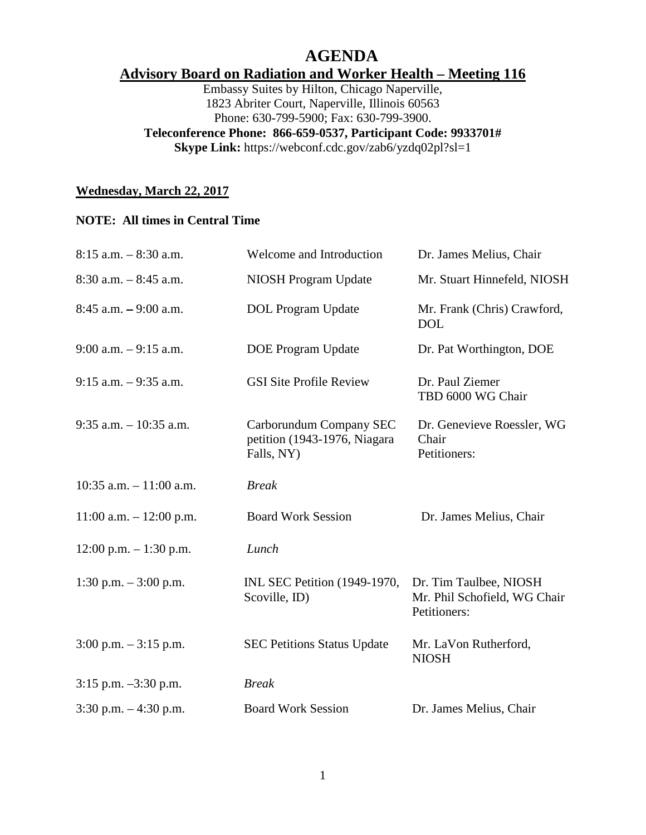# **AGENDA**

## **Advisory Board on Radiation and Worker Health – Meeting 116**

Embassy Suites by Hilton, Chicago Naperville, 1823 Abriter Court, Naperville, Illinois 60563 Phone: 630-799-5900; Fax: 630-799-3900.

#### **Teleconference Phone: 866-659-0537, Participant Code: 9933701#**

**Skype Link:** https://webconf.cdc.gov/zab6/yzdq02pl?sl=1

#### **Wednesday, March 22, 2017**

#### **NOTE: All times in Central Time**

| $8:15$ a.m. $-8:30$ a.m.   | Welcome and Introduction                                              | Dr. James Melius, Chair                                                |
|----------------------------|-----------------------------------------------------------------------|------------------------------------------------------------------------|
| $8:30$ a.m. $-8:45$ a.m.   | <b>NIOSH Program Update</b>                                           | Mr. Stuart Hinnefeld, NIOSH                                            |
| $8:45$ a.m. $-9:00$ a.m.   | <b>DOL</b> Program Update                                             | Mr. Frank (Chris) Crawford,<br><b>DOL</b>                              |
| $9:00$ a.m. $-9:15$ a.m.   | <b>DOE Program Update</b>                                             | Dr. Pat Worthington, DOE                                               |
| $9:15$ a.m. $-9:35$ a.m.   | <b>GSI Site Profile Review</b>                                        | Dr. Paul Ziemer<br>TBD 6000 WG Chair                                   |
| $9:35$ a.m. $-10:35$ a.m.  | Carborundum Company SEC<br>petition (1943-1976, Niagara<br>Falls, NY) | Dr. Genevieve Roessler, WG<br>Chair<br>Petitioners:                    |
| $10:35$ a.m. $-11:00$ a.m. | <b>Break</b>                                                          |                                                                        |
| $11:00$ a.m. $-12:00$ p.m. | <b>Board Work Session</b>                                             | Dr. James Melius, Chair                                                |
| $12:00$ p.m. $-1:30$ p.m.  | Lunch                                                                 |                                                                        |
| 1:30 p.m. $-3:00$ p.m.     | INL SEC Petition (1949-1970,<br>Scoville, ID)                         | Dr. Tim Taulbee, NIOSH<br>Mr. Phil Schofield, WG Chair<br>Petitioners: |
| $3:00$ p.m. $-3:15$ p.m.   | <b>SEC Petitions Status Update</b>                                    | Mr. LaVon Rutherford,<br><b>NIOSH</b>                                  |
| $3:15$ p.m. $-3:30$ p.m.   | <b>Break</b>                                                          |                                                                        |
| $3:30$ p.m. $-4:30$ p.m.   | <b>Board Work Session</b>                                             | Dr. James Melius, Chair                                                |